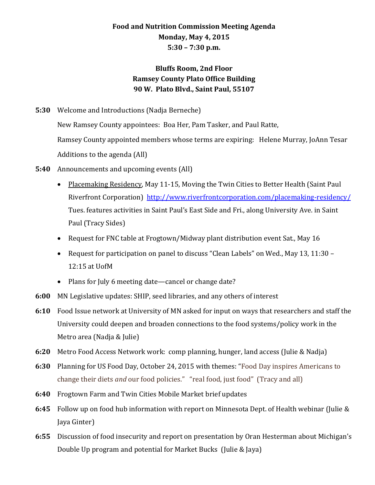## **Food and Nutrition Commission Meeting Agenda Monday, May 4, 2015 5:30 – 7:30 p.m.**

## **Bluffs Room, 2nd Floor Ramsey County Plato Office Building 90 W. Plato Blvd., Saint Paul, 55107**

**5:30** Welcome and Introductions (Nadja Berneche)

New Ramsey County appointees: Boa Her, Pam Tasker, and Paul Ratte, Ramsey County appointed members whose terms are expiring: Helene Murray, JoAnn Tesar Additions to the agenda (All)

- **5:40** Announcements and upcoming events (All)
	- Placemaking Residency, May 11-15, Moving the Twin Cities to Better Health (Saint Paul Riverfront Corporation) <http://www.riverfrontcorporation.com/placemaking-residency/> Tues. features activities in Saint Paul's East Side and Fri., along University Ave. in Saint Paul (Tracy Sides)
	- Request for FNC table at Frogtown/Midway plant distribution event Sat., May 16
	- Request for participation on panel to discuss "Clean Labels" on Wed., May 13, 11:30 12:15 at UofM
	- Plans for July 6 meeting date—cancel or change date?
- **6:00** MN Legislative updates: SHIP, seed libraries, and any others of interest
- **6:10** Food Issue network at University of MN asked for input on ways that researchers and staff the University could deepen and broaden connections to the food systems/policy work in the Metro area (Nadja & Julie)
- **6:20** Metro Food Access Network work: comp planning, hunger, land access (Julie & Nadja)
- **6:30** Planning for US Food Day, October 24, 2015 with themes: "Food Day inspires Americans to change their diets *and* our food policies." "real food, just food" (Tracy and all)
- **6:40** Frogtown Farm and Twin Cities Mobile Market brief updates
- **6:45** Follow up on food hub information with report on Minnesota Dept. of Health webinar (Julie & Jaya Ginter)
- **6:55** Discussion of food insecurity and report on presentation by Oran Hesterman about Michigan's Double Up program and potential for Market Bucks (Julie & Jaya)